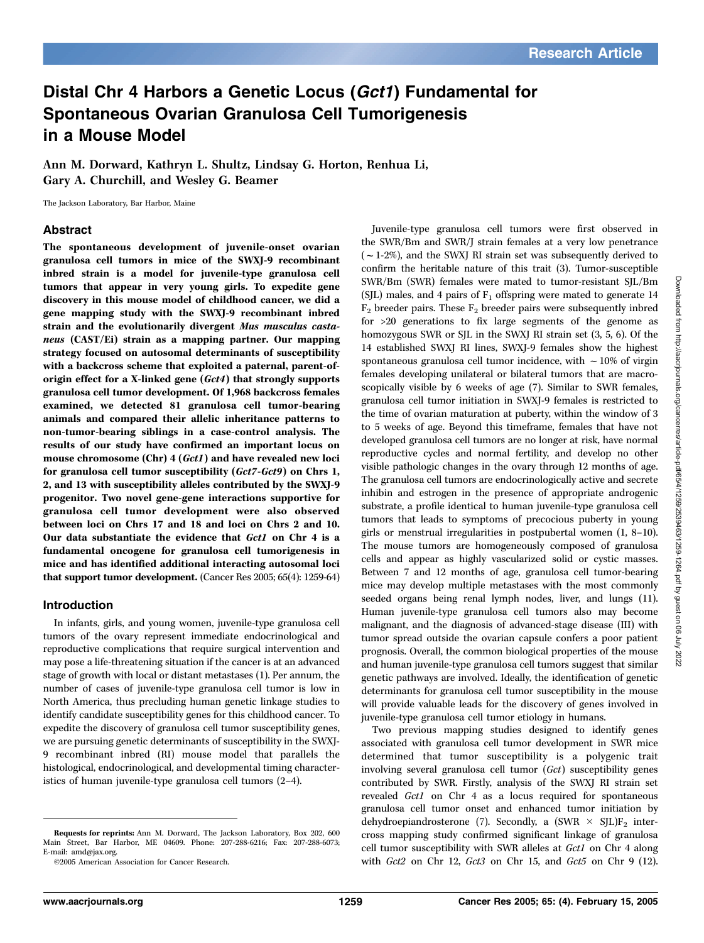# Distal Chr 4 Harbors a Genetic Locus (Gct1) Fundamental for Spontaneous Ovarian Granulosa Cell Tumorigenesis in a Mouse Model

Ann M. Dorward, Kathryn L. Shultz, Lindsay G. Horton, Renhua Li, Gary A. Churchill, and Wesley G. Beamer

The Jackson Laboratory, Bar Harbor, Maine

#### Abstract

The spontaneous development of juvenile-onset ovarian granulosa cell tumors in mice of the SWXJ-9 recombinant inbred strain is a model for juvenile-type granulosa cell tumors that appear in very young girls. To expedite gene discovery in this mouse model of childhood cancer, we did a gene mapping study with the SWXJ-9 recombinant inbred strain and the evolutionarily divergent Mus musculus castaneus (CAST/Ei) strain as a mapping partner. Our mapping strategy focused on autosomal determinants of susceptibility with a backcross scheme that exploited a paternal, parent-oforigin effect for a X-linked gene (Gct4) that strongly supports granulosa cell tumor development. Of 1,968 backcross females examined, we detected 81 granulosa cell tumor-bearing animals and compared their allelic inheritance patterns to non-tumor-bearing siblings in a case-control analysis. The results of our study have confirmed an important locus on mouse chromosome (Chr) 4 (Gct1) and have revealed new loci for granulosa cell tumor susceptibility (Gct7-Gct9) on Chrs 1, 2, and 13 with susceptibility alleles contributed by the SWXJ-9 progenitor. Two novel gene-gene interactions supportive for granulosa cell tumor development were also observed between loci on Chrs 17 and 18 and loci on Chrs 2 and 10. Our data substantiate the evidence that Gct1 on Chr 4 is a fundamental oncogene for granulosa cell tumorigenesis in mice and has identified additional interacting autosomal loci that support tumor development. (Cancer Res 2005; 65(4): 1259-64)

#### Introduction

In infants, girls, and young women, juvenile-type granulosa cell tumors of the ovary represent immediate endocrinological and reproductive complications that require surgical intervention and may pose a life-threatening situation if the cancer is at an advanced stage of growth with local or distant metastases (1). Per annum, the number of cases of juvenile-type granulosa cell tumor is low in North America, thus precluding human genetic linkage studies to identify candidate susceptibility genes for this childhood cancer. To expedite the discovery of granulosa cell tumor susceptibility genes, we are pursuing genetic determinants of susceptibility in the SWXJ-9 recombinant inbred (RI) mouse model that parallels the histological, endocrinological, and developmental timing characteristics of human juvenile-type granulosa cell tumors (2–4).

Juvenile-type granulosa cell tumors were first observed in the SWR/Bm and SWR/J strain females at a very low penetrance  $(-1-2%)$ , and the SWXJ RI strain set was subsequently derived to confirm the heritable nature of this trait (3). Tumor-susceptible SWR/Bm (SWR) females were mated to tumor-resistant SJL/Bm (SJL) males, and 4 pairs of  $F_1$  offspring were mated to generate 14  $F_2$  breeder pairs. These  $F_2$  breeder pairs were subsequently inbred for >20 generations to fix large segments of the genome as homozygous SWR or SJL in the SWXJ RI strain set (3, 5, 6). Of the 14 established SWXJ RI lines, SWXJ-9 females show the highest spontaneous granulosa cell tumor incidence, with  $\sim$  10% of virgin females developing unilateral or bilateral tumors that are macroscopically visible by 6 weeks of age (7). Similar to SWR females, granulosa cell tumor initiation in SWXJ-9 females is restricted to the time of ovarian maturation at puberty, within the window of 3 to 5 weeks of age. Beyond this timeframe, females that have not developed granulosa cell tumors are no longer at risk, have normal reproductive cycles and normal fertility, and develop no other visible pathologic changes in the ovary through 12 months of age. The granulosa cell tumors are endocrinologically active and secrete inhibin and estrogen in the presence of appropriate androgenic substrate, a profile identical to human juvenile-type granulosa cell tumors that leads to symptoms of precocious puberty in young girls or menstrual irregularities in postpubertal women (1, 8–10). The mouse tumors are homogeneously composed of granulosa cells and appear as highly vascularized solid or cystic masses. Between 7 and 12 months of age, granulosa cell tumor-bearing mice may develop multiple metastases with the most commonly seeded organs being renal lymph nodes, liver, and lungs (11). Human juvenile-type granulosa cell tumors also may become malignant, and the diagnosis of advanced-stage disease (III) with tumor spread outside the ovarian capsule confers a poor patient prognosis. Overall, the common biological properties of the mouse and human juvenile-type granulosa cell tumors suggest that similar genetic pathways are involved. Ideally, the identification of genetic determinants for granulosa cell tumor susceptibility in the mouse will provide valuable leads for the discovery of genes involved in juvenile-type granulosa cell tumor etiology in humans.

Two previous mapping studies designed to identify genes associated with granulosa cell tumor development in SWR mice determined that tumor susceptibility is a polygenic trait involving several granulosa cell tumor (Gct) susceptibility genes contributed by SWR. Firstly, analysis of the SWXJ RI strain set revealed Gct1 on Chr 4 as a locus required for spontaneous granulosa cell tumor onset and enhanced tumor initiation by dehydroepiandrosterone (7). Secondly, a (SWR  $\times$  SJL)F<sub>2</sub> intercross mapping study confirmed significant linkage of granulosa cell tumor susceptibility with SWR alleles at Gct1 on Chr 4 along with Gct2 on Chr 12, Gct3 on Chr 15, and Gct5 on Chr 9 (12).

Requests for reprints: Ann M. Dorward, The Jackson Laboratory, Box 202, 600 Main Street, Bar Harbor, ME 04609. Phone: 207-288-6216; Fax: 207-288-6073; E-mail: amd@jax.org.

<sup>©2005</sup> American Association for Cancer Research.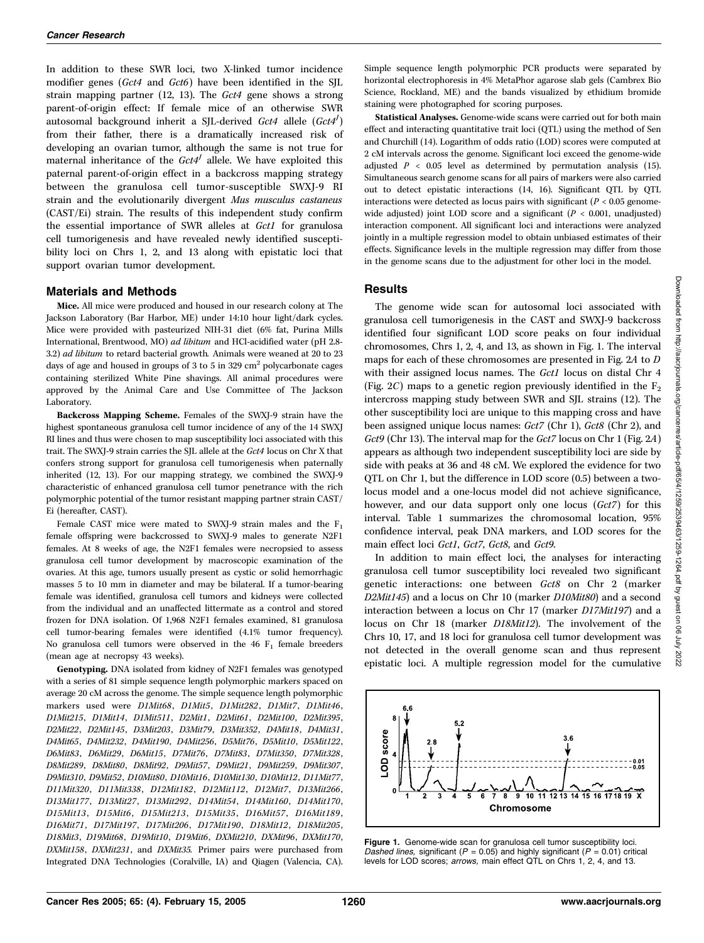In addition to these SWR loci, two X-linked tumor incidence modifier genes (Gct4 and Gct6) have been identified in the SJL strain mapping partner (12, 13). The Gct4 gene shows a strong parent-of-origin effect: If female mice of an otherwise SWR autosomal background inherit a SJL-derived  $Gct4$  allele  $(Gct4')$ from their father, there is a dramatically increased risk of developing an ovarian tumor, although the same is not true for maternal inheritance of the  $Gct4<sup>J</sup>$  allele. We have exploited this paternal parent-of-origin effect in a backcross mapping strategy between the granulosa cell tumor-susceptible SWXJ-9 RI strain and the evolutionarily divergent Mus musculus castaneus (CAST/Ei) strain. The results of this independent study confirm the essential importance of SWR alleles at Gct1 for granulosa cell tumorigenesis and have revealed newly identified susceptibility loci on Chrs 1, 2, and 13 along with epistatic loci that support ovarian tumor development.

#### Materials and Methods

Mice. All mice were produced and housed in our research colony at The Jackson Laboratory (Bar Harbor, ME) under 14:10 hour light/dark cycles. Mice were provided with pasteurized NIH-31 diet (6% fat, Purina Mills International, Brentwood, MO) ad libitum and HCl-acidified water (pH 2.8- 3.2) ad libitum to retard bacterial growth. Animals were weaned at 20 to 23 days of age and housed in groups of 3 to 5 in 329  $\text{cm}^2$  polycarbonate cages containing sterilized White Pine shavings. All animal procedures were approved by the Animal Care and Use Committee of The Jackson Laboratory.

Backcross Mapping Scheme. Females of the SWXJ-9 strain have the highest spontaneous granulosa cell tumor incidence of any of the 14 SWXJ RI lines and thus were chosen to map susceptibility loci associated with this trait. The SWXJ-9 strain carries the SJL allele at the Gct4 locus on Chr X that confers strong support for granulosa cell tumorigenesis when paternally inherited (12, 13). For our mapping strategy, we combined the SWXJ-9 characteristic of enhanced granulosa cell tumor penetrance with the rich polymorphic potential of the tumor resistant mapping partner strain CAST/ Ei (hereafter, CAST).

Female CAST mice were mated to SWXJ-9 strain males and the F<sub>1</sub> female offspring were backcrossed to SWXJ-9 males to generate N2F1 females. At 8 weeks of age, the N2F1 females were necropsied to assess granulosa cell tumor development by macroscopic examination of the ovaries. At this age, tumors usually present as cystic or solid hemorrhagic masses 5 to 10 mm in diameter and may be bilateral. If a tumor-bearing female was identified, granulosa cell tumors and kidneys were collected from the individual and an unaffected littermate as a control and stored frozen for DNA isolation. Of 1,968 N2F1 females examined, 81 granulosa cell tumor-bearing females were identified (4.1% tumor frequency). No granulosa cell tumors were observed in the 46  $F_1$  female breeders (mean age at necropsy 43 weeks).

Genotyping. DNA isolated from kidney of N2F1 females was genotyped with a series of 81 simple sequence length polymorphic markers spaced on average 20 cM across the genome. The simple sequence length polymorphic markers used were D1Mit68, D1Mit5, D1Mit282, D1Mit7, D1Mit46, D1Mit215, D1Mit14, D1Mit511, D2Mit1, D2Mit61, D2Mit100, D2Mit395, D2Mit22, D2Mit145, D3Mit203, D3Mit79, D3Mit352, D4Mit18, D4Mit31, D4Mit65, D4Mit232, D4Mit190, D4Mit256, D5Mit76, D5Mit10, D5Mit122, D6Mit83, D6Mit29, D6Mit15, D7Mit76, D7Mit83, D7Mit350, D7Mit328, D8Mit289, D8Mit80, D8Mit92, D9Mit57, D9Mit21, D9Mit259, D9Mit307, D9Mit310, D9Mit52, D10Mit80, D10Mit16, D10Mit130, D10Mit12, D11Mit77, D11Mit320, D11Mit338, D12Mit182, D12Mit112, D12Mit7, D13Mit266, D13Mit177, D13Mit27, D13Mit292, D14Mit54, D14Mit160, D14Mit170, D15Mit13, D15Mit6, D15Mit213, D15Mit35, D16Mit57, D16Mit189, D16Mit71, D17Mit197, D17Mit206, D17Mit190, D18Mit12, D18Mit205, D18Mit3, D19Mit68, D19Mit10, D19Mit6, DXMit210, DXMit96, DXMit170, DXMit158, DXMit231, and DXMit35. Primer pairs were purchased from Integrated DNA Technologies (Coralville, IA) and Qiagen (Valencia, CA).

Simple sequence length polymorphic PCR products were separated by horizontal electrophoresis in 4% MetaPhor agarose slab gels (Cambrex Bio Science, Rockland, ME) and the bands visualized by ethidium bromide staining were photographed for scoring purposes.

Statistical Analyses. Genome-wide scans were carried out for both main effect and interacting quantitative trait loci (QTL) using the method of Sen and Churchill (14). Logarithm of odds ratio (LOD) scores were computed at 2 cM intervals across the genome. Significant loci exceed the genome-wide adjusted  $P < 0.05$  level as determined by permutation analysis (15). Simultaneous search genome scans for all pairs of markers were also carried out to detect epistatic interactions (14, 16). Significant QTL by QTL interactions were detected as locus pairs with significant ( $P < 0.05$  genomewide adjusted) joint LOD score and a significant ( $P < 0.001$ , unadjusted) interaction component. All significant loci and interactions were analyzed jointly in a multiple regression model to obtain unbiased estimates of their effects. Significance levels in the multiple regression may differ from those in the genome scans due to the adjustment for other loci in the model.

## **Results**

The genome wide scan for autosomal loci associated with granulosa cell tumorigenesis in the CAST and SWXJ-9 backcross identified four significant LOD score peaks on four individual chromosomes, Chrs 1, 2, 4, and 13, as shown in Fig. 1. The interval maps for each of these chromosomes are presented in Fig. 2A to D with their assigned locus names. The Gct1 locus on distal Chr 4 (Fig. 2C) maps to a genetic region previously identified in the  $F_2$ intercross mapping study between SWR and SJL strains (12). The other susceptibility loci are unique to this mapping cross and have been assigned unique locus names: Gct7 (Chr 1), Gct8 (Chr 2), and Gct9 (Chr 13). The interval map for the Gct7 locus on Chr 1 (Fig. 2A) appears as although two independent susceptibility loci are side by side with peaks at 36 and 48 cM. We explored the evidence for two QTL on Chr 1, but the difference in LOD score (0.5) between a twolocus model and a one-locus model did not achieve significance, however, and our data support only one locus (Gct7) for this interval. Table 1 summarizes the chromosomal location, 95% confidence interval, peak DNA markers, and LOD scores for the main effect loci Gct1, Gct7, Gct8, and Gct9.

In addition to main effect loci, the analyses for interacting granulosa cell tumor susceptibility loci revealed two significant genetic interactions: one between Gct8 on Chr 2 (marker D2Mit145) and a locus on Chr 10 (marker D10Mit80) and a second interaction between a locus on Chr 17 (marker D17Mit197) and a locus on Chr 18 (marker D18Mit12). The involvement of the Chrs 10, 17, and 18 loci for granulosa cell tumor development was not detected in the overall genome scan and thus represent epistatic loci. A multiple regression model for the cumulative



Figure 1. Genome-wide scan for granulosa cell tumor susceptibility loci. Dashed lines, significant ( $P = 0.05$ ) and highly significant ( $P = 0.01$ ) critical levels for LOD scores; arrows, main effect QTL on Chrs 1, 2, 4, and 13.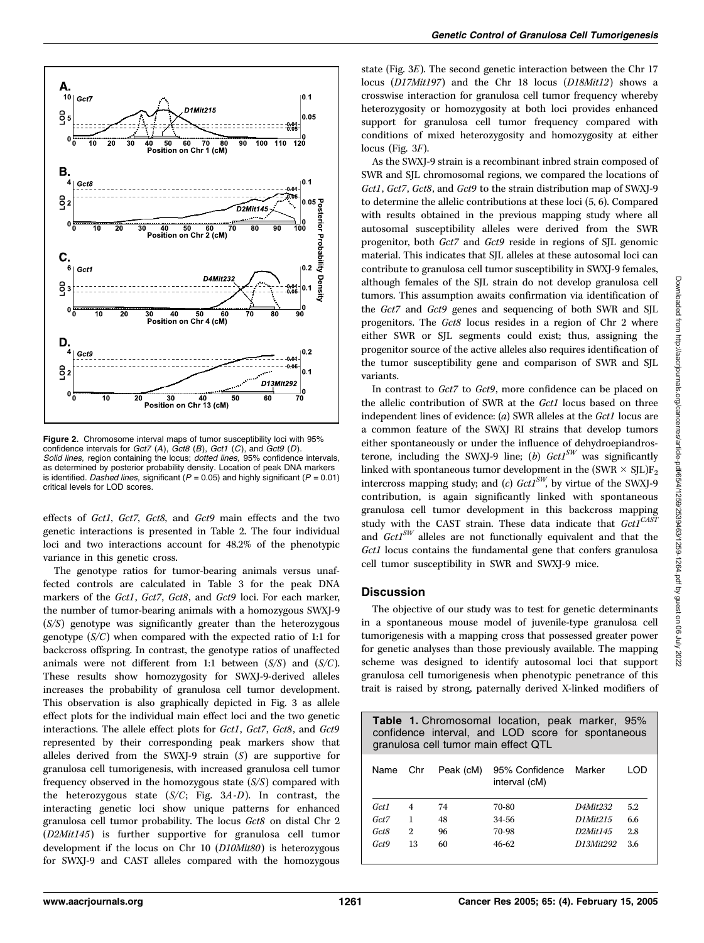

Figure 2. Chromosome interval maps of tumor susceptibility loci with 95% confidence intervals for  $Gct7$  (A),  $Gct8$  (B),  $Gct1$  (C), and  $Gct9$  (D). Solid lines, region containing the locus; dotted lines, 95% confidence intervals, as determined by posterior probability density. Location of peak DNA markers is identified. Dashed lines, significant ( $P = 0.05$ ) and highly significant ( $P = 0.01$ ) critical levels for LOD scores.

effects of Gct1, Gct7, Gct8, and Gct9 main effects and the two genetic interactions is presented in Table 2. The four individual loci and two interactions account for 48.2% of the phenotypic variance in this genetic cross.

The genotype ratios for tumor-bearing animals versus unaffected controls are calculated in Table 3 for the peak DNA markers of the Gct1, Gct7, Gct8, and Gct9 loci. For each marker, the number of tumor-bearing animals with a homozygous SWXJ-9 (S/S) genotype was significantly greater than the heterozygous genotype  $(S/C)$  when compared with the expected ratio of 1:1 for backcross offspring. In contrast, the genotype ratios of unaffected animals were not different from 1:1 between  $(S/S)$  and  $(S/C)$ . These results show homozygosity for SWXJ-9-derived alleles increases the probability of granulosa cell tumor development. This observation is also graphically depicted in Fig. 3 as allele effect plots for the individual main effect loci and the two genetic interactions. The allele effect plots for Gct1, Gct7, Gct8, and Gct9 represented by their corresponding peak markers show that alleles derived from the SWXJ-9 strain (S) are supportive for granulosa cell tumorigenesis, with increased granulosa cell tumor frequency observed in the homozygous state  $(S/S)$  compared with the heterozygous state  $(S/C;$  Fig. 3A-D). In contrast, the interacting genetic loci show unique patterns for enhanced granulosa cell tumor probability. The locus Gct8 on distal Chr 2 (D2Mit145) is further supportive for granulosa cell tumor development if the locus on Chr 10 (D10Mit80) is heterozygous for SWXJ-9 and CAST alleles compared with the homozygous

state (Fig. 3E). The second genetic interaction between the Chr 17 locus (D17Mit197) and the Chr 18 locus (D18Mit12) shows a crosswise interaction for granulosa cell tumor frequency whereby heterozygosity or homozygosity at both loci provides enhanced support for granulosa cell tumor frequency compared with conditions of mixed heterozygosity and homozygosity at either locus (Fig.  $3F$ ).

As the SWXJ-9 strain is a recombinant inbred strain composed of SWR and SJL chromosomal regions, we compared the locations of Gct1, Gct7, Gct8, and Gct9 to the strain distribution map of SWXJ-9 to determine the allelic contributions at these loci (5, 6). Compared with results obtained in the previous mapping study where all autosomal susceptibility alleles were derived from the SWR progenitor, both Gct7 and Gct9 reside in regions of SJL genomic material. This indicates that SJL alleles at these autosomal loci can contribute to granulosa cell tumor susceptibility in SWXJ-9 females, although females of the SJL strain do not develop granulosa cell tumors. This assumption awaits confirmation via identification of the Gct7 and Gct9 genes and sequencing of both SWR and SJL progenitors. The Gct8 locus resides in a region of Chr 2 where either SWR or SJL segments could exist; thus, assigning the progenitor source of the active alleles also requires identification of the tumor susceptibility gene and comparison of SWR and SJL variants.

In contrast to Gct7 to Gct9, more confidence can be placed on the allelic contribution of SWR at the Gct1 locus based on three independent lines of evidence: (a) SWR alleles at the Gct1 locus are a common feature of the SWXJ RI strains that develop tumors either spontaneously or under the influence of dehydroepiandrosterone, including the SWXJ-9 line; (b)  $GctI^{SW}$  was significantly linked with spontaneous tumor development in the (SWR  $\times$  SJL)F<sub>2</sub> intercross mapping study; and (c)  $GctI<sup>SW</sup>$ , by virtue of the SWXJ-9 contribution, is again significantly linked with spontaneous granulosa cell tumor development in this backcross mapping study with the CAST strain. These data indicate that  $GctI^{CASI}$ and  $GctI<sup>SW</sup>$  alleles are not functionally equivalent and that the Gct1 locus contains the fundamental gene that confers granulosa cell tumor susceptibility in SWR and SWXJ-9 mice.

## Discussion

The objective of our study was to test for genetic determinants in a spontaneous mouse model of juvenile-type granulosa cell tumorigenesis with a mapping cross that possessed greater power for genetic analyses than those previously available. The mapping scheme was designed to identify autosomal loci that support granulosa cell tumorigenesis when phenotypic penetrance of this trait is raised by strong, paternally derived X-linked modifiers of

| <b>Table 1.</b> Chromosomal location, peak marker, 95%<br>confidence interval, and LOD score for spontaneous<br>granulosa cell tumor main effect QTL |                |           |                                 |                       |       |  |  |  |
|------------------------------------------------------------------------------------------------------------------------------------------------------|----------------|-----------|---------------------------------|-----------------------|-------|--|--|--|
| Name Chr                                                                                                                                             |                | Peak (cM) | 95% Confidence<br>interval (cM) | Marker                | חרו ו |  |  |  |
| Gct1                                                                                                                                                 | $\overline{4}$ | 74        | 70-80                           | D4Mit <sub>232</sub>  | 5.2   |  |  |  |
| Gct7                                                                                                                                                 | $\mathbf{1}$   | 48        | 34-56                           | D1Mit215              | 6.6   |  |  |  |
| Gct8                                                                                                                                                 | $\overline{2}$ | 96        | 70-98                           | D <sub>2</sub> Mit145 | 2.8   |  |  |  |
| Gct9                                                                                                                                                 | 13             | 60        | $46 - 62$                       | D13Mit292             | 3.6   |  |  |  |

Downloaded from http://aacrjournals.org/cancerres/article-pdf/65/4/1259/2539463/1259-1264.pdf by guest on 06 July 2022

Downloaded from http://aacrjournals.org/cancerres/article-pdf/65/4/1259/2539463/1259-1264.pdf by guest on 06 July 2022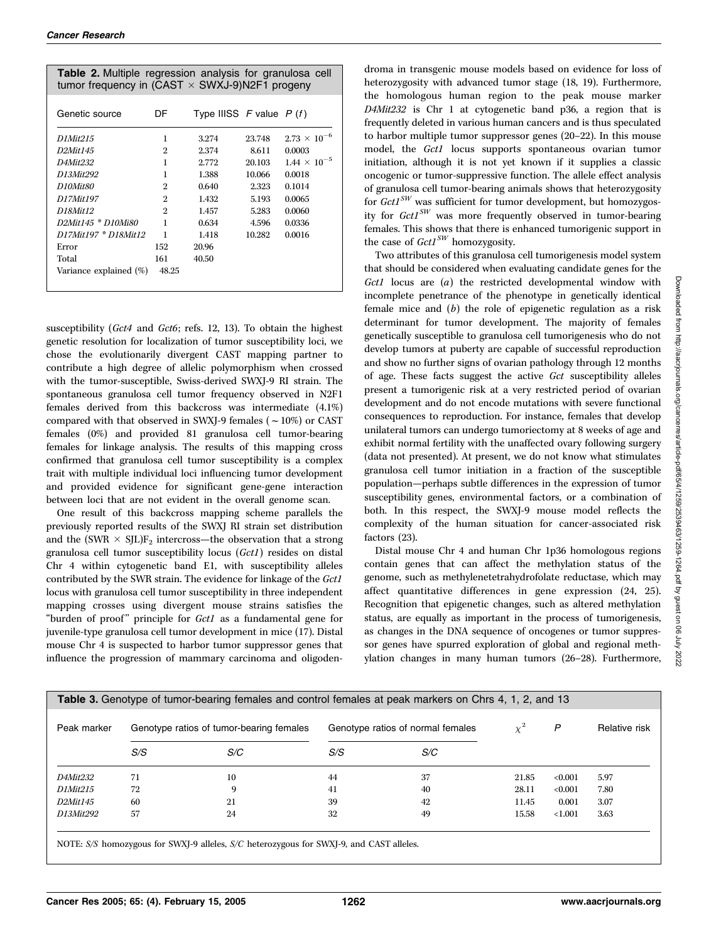| <b>Table 2.</b> Multiple regression analysis for granulosa cell<br>tumor frequency in (CAST $\times$ SWXJ-9)N2F1 progeny |                |                             |        |                       |  |  |
|--------------------------------------------------------------------------------------------------------------------------|----------------|-----------------------------|--------|-----------------------|--|--|
| Genetic source                                                                                                           | DF             | Type IIISS $F$ value $P(f)$ |        |                       |  |  |
| D1Mit215                                                                                                                 | 1              | 3.274                       | 23.748 | $2.73 \times 10^{-6}$ |  |  |
| D <sub>2</sub> Mit145                                                                                                    | 2              | 2.374                       | 8.611  | 0.0003                |  |  |
| D4Mit232                                                                                                                 | 1              | 2.772                       | 20.103 | $1.44 \times 10^{-5}$ |  |  |
| D13Mit292                                                                                                                | 1              | 1.388                       | 10.066 | 0.0018                |  |  |
| D <sub>10</sub> Mit <sub>80</sub>                                                                                        | $\overline{2}$ | 0.640                       | 2.323  | 0.1014                |  |  |
| D17Mit197                                                                                                                | $\mathbf{2}$   | 1.432                       | 5.193  | 0.0065                |  |  |
| D18Mit12                                                                                                                 | $\mathfrak{D}$ | 1.457                       | 5.283  | 0.0060                |  |  |
| D2Mit145 * D10Mi80                                                                                                       | 1              | 0.634                       | 4.596  | 0.0336                |  |  |
| D17Mit197 * D18Mit12                                                                                                     | 1              | 1.418                       | 10.282 | 0.0016                |  |  |
| Error                                                                                                                    | 152            | 20.96                       |        |                       |  |  |
| Total                                                                                                                    | 161            | 40.50                       |        |                       |  |  |
| Variance explained (%)                                                                                                   | 48.25          |                             |        |                       |  |  |

susceptibility (Gct4 and Gct6; refs. 12, 13). To obtain the highest genetic resolution for localization of tumor susceptibility loci, we chose the evolutionarily divergent CAST mapping partner to contribute a high degree of allelic polymorphism when crossed with the tumor-susceptible, Swiss-derived SWXJ-9 RI strain. The spontaneous granulosa cell tumor frequency observed in N2F1 females derived from this backcross was intermediate (4.1%) compared with that observed in SWXJ-9 females ( $\sim$  10%) or CAST females (0%) and provided 81 granulosa cell tumor-bearing females for linkage analysis. The results of this mapping cross confirmed that granulosa cell tumor susceptibility is a complex trait with multiple individual loci influencing tumor development and provided evidence for significant gene-gene interaction between loci that are not evident in the overall genome scan.

One result of this backcross mapping scheme parallels the previously reported results of the SWXJ RI strain set distribution and the (SWR  $\times$  SJL)F<sub>2</sub> intercross—the observation that a strong granulosa cell tumor susceptibility locus (Gct1) resides on distal Chr 4 within cytogenetic band E1, with susceptibility alleles contributed by the SWR strain. The evidence for linkage of the Gct1 locus with granulosa cell tumor susceptibility in three independent mapping crosses using divergent mouse strains satisfies the "burden of proof" principle for  $Gct1$  as a fundamental gene for juvenile-type granulosa cell tumor development in mice (17). Distal mouse Chr 4 is suspected to harbor tumor suppressor genes that influence the progression of mammary carcinoma and oligodendroma in transgenic mouse models based on evidence for loss of heterozygosity with advanced tumor stage (18, 19). Furthermore, the homologous human region to the peak mouse marker D4Mit232 is Chr 1 at cytogenetic band p36, a region that is frequently deleted in various human cancers and is thus speculated to harbor multiple tumor suppressor genes (20–22). In this mouse model, the Gct1 locus supports spontaneous ovarian tumor initiation, although it is not yet known if it supplies a classic oncogenic or tumor-suppressive function. The allele effect analysis of granulosa cell tumor-bearing animals shows that heterozygosity for  $GctI<sup>SW</sup>$  was sufficient for tumor development, but homozygosity for  $GctI<sup>SW</sup>$  was more frequently observed in tumor-bearing females. This shows that there is enhanced tumorigenic support in the case of  $GctI<sup>SW</sup>$  homozygosity.

Two attributes of this granulosa cell tumorigenesis model system that should be considered when evaluating candidate genes for the Gct1 locus are (a) the restricted developmental window with incomplete penetrance of the phenotype in genetically identical female mice and  $(b)$  the role of epigenetic regulation as a risk determinant for tumor development. The majority of females genetically susceptible to granulosa cell tumorigenesis who do not develop tumors at puberty are capable of successful reproduction and show no further signs of ovarian pathology through 12 months of age. These facts suggest the active Gct susceptibility alleles present a tumorigenic risk at a very restricted period of ovarian development and do not encode mutations with severe functional consequences to reproduction. For instance, females that develop unilateral tumors can undergo tumoriectomy at 8 weeks of age and exhibit normal fertility with the unaffected ovary following surgery (data not presented). At present, we do not know what stimulates granulosa cell tumor initiation in a fraction of the susceptible population—perhaps subtle differences in the expression of tumor susceptibility genes, environmental factors, or a combination of both. In this respect, the SWXJ-9 mouse model reflects the complexity of the human situation for cancer-associated risk factors (23).

Distal mouse Chr 4 and human Chr 1p36 homologous regions contain genes that can affect the methylation status of the genome, such as methylenetetrahydrofolate reductase, which may affect quantitative differences in gene expression (24, 25). Recognition that epigenetic changes, such as altered methylation status, are equally as important in the process of tumorigenesis, as changes in the DNA sequence of oncogenes or tumor suppressor genes have spurred exploration of global and regional methylation changes in many human tumors (26–28). Furthermore,

| Peak marker                       | Genotype ratios of tumor-bearing females |     | Genotype ratios of normal females |     | $\gamma^2$ | P       | Relative risk |
|-----------------------------------|------------------------------------------|-----|-----------------------------------|-----|------------|---------|---------------|
|                                   | S/S                                      | S/C | S/S                               | S/C |            |         |               |
| D4Mit232                          | 71                                       | 10  | 44                                | 37  | 21.85      | < 0.001 | 5.97          |
| <i>D1Mit215</i>                   | 72                                       | 9   | 41                                | 40  | 28.11      | < 0.001 | 7.80          |
| D <sub>2</sub> Mit <sub>145</sub> | 60                                       | 21  | 39                                | 42  | 11.45      | 0.001   | 3.07          |
| D13Mit292                         | 57                                       | 24  | 32                                | 49  | 15.58      | < 1.001 | 3.63          |

NOTE: S/S homozygous for SWXJ-9 alleles, S/C heterozygous for SWXJ-9, and CAST alleles.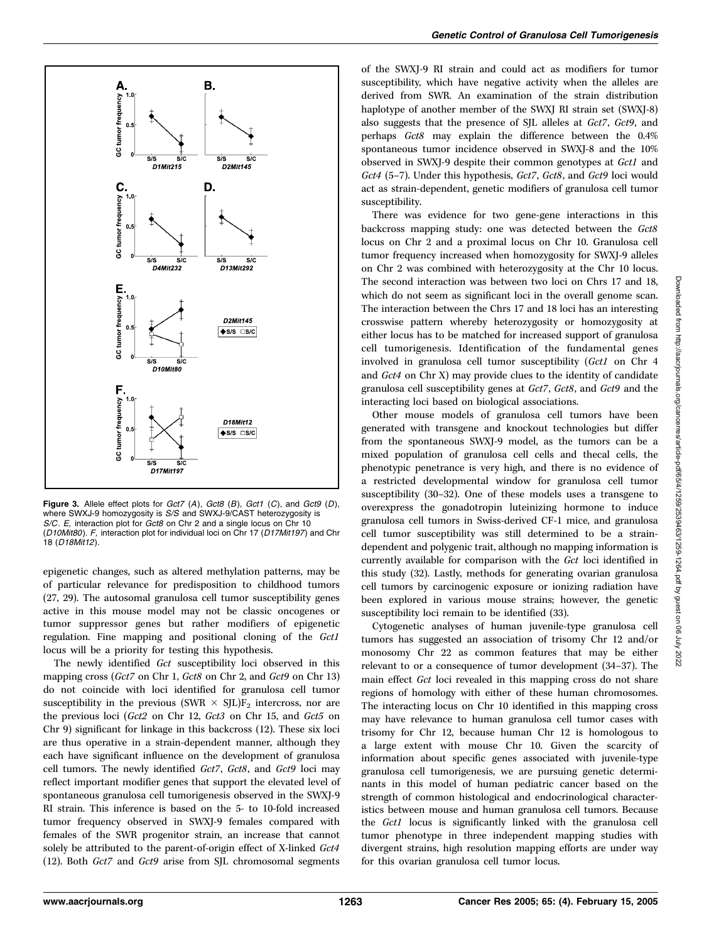

Figure 3. Allele effect plots for  $Gct7$  (A),  $Gct8$  (B),  $Gct1$  (C), and  $Gct9$  (D), where SWXJ-9 homozygosity is S/S and SWXJ-9/CAST heterozygosity is S/C. E, interaction plot for Gct8 on Chr 2 and a single locus on Chr 10 (D10Mit80). F, interaction plot for individual loci on Chr 17 (D17Mit197) and Chr 18 (D18Mit12).

epigenetic changes, such as altered methylation patterns, may be of particular relevance for predisposition to childhood tumors (27, 29). The autosomal granulosa cell tumor susceptibility genes active in this mouse model may not be classic oncogenes or tumor suppressor genes but rather modifiers of epigenetic regulation. Fine mapping and positional cloning of the Gct1 locus will be a priority for testing this hypothesis.

The newly identified Gct susceptibility loci observed in this mapping cross (Gct7 on Chr 1, Gct8 on Chr 2, and Gct9 on Chr 13) do not coincide with loci identified for granulosa cell tumor susceptibility in the previous (SWR  $\times$  SJL)F<sub>2</sub> intercross, nor are the previous loci (Gct2 on Chr 12, Gct3 on Chr 15, and Gct5 on Chr 9) significant for linkage in this backcross (12). These six loci are thus operative in a strain-dependent manner, although they each have significant influence on the development of granulosa cell tumors. The newly identified Gct7, Gct8, and Gct9 loci may reflect important modifier genes that support the elevated level of spontaneous granulosa cell tumorigenesis observed in the SWXJ-9 RI strain. This inference is based on the 5- to 10-fold increased tumor frequency observed in SWXJ-9 females compared with females of the SWR progenitor strain, an increase that cannot solely be attributed to the parent-of-origin effect of X-linked Gct4 (12). Both Gct7 and Gct9 arise from SJL chromosomal segments

of the SWXJ-9 RI strain and could act as modifiers for tumor susceptibility, which have negative activity when the alleles are derived from SWR. An examination of the strain distribution haplotype of another member of the SWXJ RI strain set (SWXJ-8) also suggests that the presence of SJL alleles at Gct7, Gct9, and perhaps Gct8 may explain the difference between the 0.4% spontaneous tumor incidence observed in SWXJ-8 and the 10% observed in SWXJ-9 despite their common genotypes at Gct1 and Gct4 (5-7). Under this hypothesis, Gct7, Gct8, and Gct9 loci would act as strain-dependent, genetic modifiers of granulosa cell tumor susceptibility.

There was evidence for two gene-gene interactions in this backcross mapping study: one was detected between the Gct8 locus on Chr 2 and a proximal locus on Chr 10. Granulosa cell tumor frequency increased when homozygosity for SWXJ-9 alleles on Chr 2 was combined with heterozygosity at the Chr 10 locus. The second interaction was between two loci on Chrs 17 and 18, which do not seem as significant loci in the overall genome scan. The interaction between the Chrs 17 and 18 loci has an interesting crosswise pattern whereby heterozygosity or homozygosity at either locus has to be matched for increased support of granulosa cell tumorigenesis. Identification of the fundamental genes involved in granulosa cell tumor susceptibility (Gct1 on Chr 4 and Gct4 on Chr X) may provide clues to the identity of candidate granulosa cell susceptibility genes at Gct7, Gct8, and Gct9 and the interacting loci based on biological associations.

Other mouse models of granulosa cell tumors have been generated with transgene and knockout technologies but differ from the spontaneous SWXJ-9 model, as the tumors can be a mixed population of granulosa cell cells and thecal cells, the phenotypic penetrance is very high, and there is no evidence of a restricted developmental window for granulosa cell tumor susceptibility (30–32). One of these models uses a transgene to overexpress the gonadotropin luteinizing hormone to induce granulosa cell tumors in Swiss-derived CF-1 mice, and granulosa cell tumor susceptibility was still determined to be a straindependent and polygenic trait, although no mapping information is currently available for comparison with the Gct loci identified in this study (32). Lastly, methods for generating ovarian granulosa cell tumors by carcinogenic exposure or ionizing radiation have been explored in various mouse strains; however, the genetic susceptibility loci remain to be identified (33).

Cytogenetic analyses of human juvenile-type granulosa cell tumors has suggested an association of trisomy Chr 12 and/or monosomy Chr 22 as common features that may be either relevant to or a consequence of tumor development (34–37). The main effect Gct loci revealed in this mapping cross do not share regions of homology with either of these human chromosomes. The interacting locus on Chr 10 identified in this mapping cross may have relevance to human granulosa cell tumor cases with trisomy for Chr 12, because human Chr 12 is homologous to a large extent with mouse Chr 10. Given the scarcity of information about specific genes associated with juvenile-type granulosa cell tumorigenesis, we are pursuing genetic determinants in this model of human pediatric cancer based on the strength of common histological and endocrinological characteristics between mouse and human granulosa cell tumors. Because the Gct1 locus is significantly linked with the granulosa cell tumor phenotype in three independent mapping studies with divergent strains, high resolution mapping efforts are under way for this ovarian granulosa cell tumor locus.